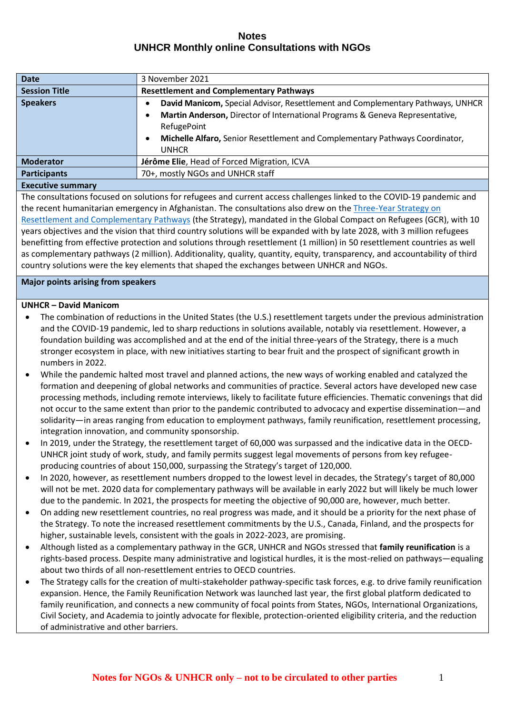| <b>Date</b>                                                                                                                                                                                                                   | 3 November 2021                                                                           |
|-------------------------------------------------------------------------------------------------------------------------------------------------------------------------------------------------------------------------------|-------------------------------------------------------------------------------------------|
| <b>Session Title</b>                                                                                                                                                                                                          | <b>Resettlement and Complementary Pathways</b>                                            |
| <b>Speakers</b>                                                                                                                                                                                                               | David Manicom, Special Advisor, Resettlement and Complementary Pathways, UNHCR            |
|                                                                                                                                                                                                                               | Martin Anderson, Director of International Programs & Geneva Representative,<br>$\bullet$ |
|                                                                                                                                                                                                                               | RefugePoint                                                                               |
|                                                                                                                                                                                                                               | Michelle Alfaro, Senior Resettlement and Complementary Pathways Coordinator,<br>٠         |
|                                                                                                                                                                                                                               | <b>UNHCR</b>                                                                              |
| <b>Moderator</b>                                                                                                                                                                                                              | Jérôme Elie, Head of Forced Migration, ICVA                                               |
| <b>Participants</b>                                                                                                                                                                                                           | 70+, mostly NGOs and UNHCR staff                                                          |
| The company of the company of the company of the company of the company of the company of the company of the company of the company of the company of the company of the company of the company of the company of the company |                                                                                           |

#### **Executive summary**

The consultations focused on solutions for refugees and current access challenges linked to the COVID-19 pandemic and the recent humanitarian emergency in Afghanistan. The consultations also drew on the Three-Year Strategy on [Resettlement and Complementary Pathways](https://www.unhcr.org/protection/resettlement/5d15db254/three-year-strategy-resettlement-complementary-pathways.html) (the Strategy), mandated in the Global Compact on Refugees (GCR), with 10 years objectives and the vision that third country solutions will be expanded with by late 2028, with 3 million refugees benefitting from effective protection and solutions through resettlement (1 million) in 50 resettlement countries as well as complementary pathways (2 million). Additionality, quality, quantity, equity, transparency, and accountability of third country solutions were the key elements that shaped the exchanges between UNHCR and NGOs.

### **Major points arising from speakers**

### **UNHCR – David Manicom**

- The combination of reductions in the United States (the U.S.) resettlement targets under the previous administration and the COVID-19 pandemic, led to sharp reductions in solutions available, notably via resettlement. However, a foundation building was accomplished and at the end of the initial three-years of the Strategy, there is a much stronger ecosystem in place, with new initiatives starting to bear fruit and the prospect of significant growth in numbers in 2022.
- While the pandemic halted most travel and planned actions, the new ways of working enabled and catalyzed the formation and deepening of global networks and communities of practice. Several actors have developed new case processing methods, including remote interviews, likely to facilitate future efficiencies. Thematic convenings that did not occur to the same extent than prior to the pandemic contributed to advocacy and expertise dissemination—and solidarity—in areas ranging from education to employment pathways, family reunification, resettlement processing, integration innovation, and community sponsorship.
- In 2019, under the Strategy, the resettlement target of 60,000 was surpassed and the indicative data in the OECD-UNHCR joint study of work, study, and family permits suggest legal movements of persons from key refugeeproducing countries of about 150,000, surpassing the Strategy's target of 120,000.
- In 2020, however, as resettlement numbers dropped to the lowest level in decades, the Strategy's target of 80,000 will not be met. 2020 data for complementary pathways will be available in early 2022 but will likely be much lower due to the pandemic. In 2021, the prospects for meeting the objective of 90,000 are, however, much better.
- On adding new resettlement countries, no real progress was made, and it should be a priority for the next phase of the Strategy. To note the increased resettlement commitments by the U.S., Canada, Finland, and the prospects for higher, sustainable levels, consistent with the goals in 2022-2023, are promising.
- Although listed as a complementary pathway in the GCR, UNHCR and NGOs stressed that **family reunification** is a rights-based process. Despite many administrative and logistical hurdles, it is the most-relied on pathways—equaling about two thirds of all non-resettlement entries to OECD countries.
- The Strategy calls for the creation of multi-stakeholder pathway-specific task forces, e.g. to drive family reunification expansion. Hence, the Family Reunification Network was launched last year, the first global platform dedicated to family reunification, and connects a new community of focal points from States, NGOs, International Organizations, Civil Society, and Academia to jointly advocate for flexible, protection-oriented eligibility criteria, and the reduction of administrative and other barriers.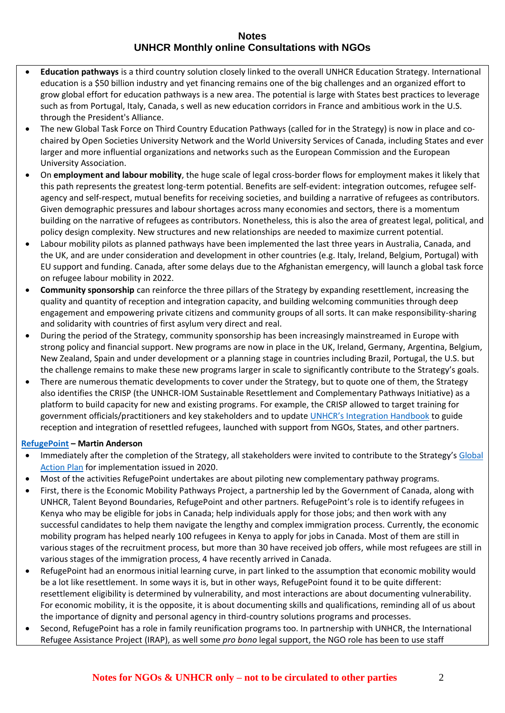- **Education pathways** is a third country solution closely linked to the overall UNHCR Education Strategy. International education is a \$50 billion industry and yet financing remains one of the big challenges and an organized effort to grow global effort for education pathways is a new area. The potential is large with States best practices to leverage such as from Portugal, Italy, Canada, s well as new education corridors in France and ambitious work in the U.S. through the President's Alliance.
- The new Global Task Force on Third Country Education Pathways (called for in the Strategy) is now in place and cochaired by Open Societies University Network and the World University Services of Canada, including States and ever larger and more influential organizations and networks such as the European Commission and the European University Association.
- On **employment and labour mobility**, the huge scale of legal cross-border flows for employment makes it likely that this path represents the greatest long-term potential. Benefits are self-evident: integration outcomes, refugee selfagency and self-respect, mutual benefits for receiving societies, and building a narrative of refugees as contributors. Given demographic pressures and labour shortages across many economies and sectors, there is a momentum building on the narrative of refugees as contributors. Nonetheless, this is also the area of greatest legal, political, and policy design complexity. New structures and new relationships are needed to maximize current potential.
- Labour mobility pilots as planned pathways have been implemented the last three years in Australia, Canada, and the UK, and are under consideration and development in other countries (e.g. Italy, Ireland, Belgium, Portugal) with EU support and funding. Canada, after some delays due to the Afghanistan emergency, will launch a global task force on refugee labour mobility in 2022.
- **Community sponsorship** can reinforce the three pillars of the Strategy by expanding resettlement, increasing the quality and quantity of reception and integration capacity, and building welcoming communities through deep engagement and empowering private citizens and community groups of all sorts. It can make responsibility-sharing and solidarity with countries of first asylum very direct and real.
- During the period of the Strategy, community sponsorship has been increasingly mainstreamed in Europe with strong policy and financial support. New programs are now in place in the UK, Ireland, Germany, Argentina, Belgium, New Zealand, Spain and under development or a planning stage in countries including Brazil, Portugal, the U.S. but the challenge remains to make these new programs larger in scale to significantly contribute to the Strategy's goals.
- There are numerous thematic developments to cover under the Strategy, but to quote one of them, the Strategy also identifies the CRISP (the UNHCR-IOM Sustainable Resettlement and Complementary Pathways Initiative) as a platform to build capacity for new and existing programs. For example, the CRISP allowed to target training for government officials/practitioners and key stakeholders and to update [UNHCR's Integration Handbook](https://www.unhcr.org/handbooks/ih/) to guide reception and integration of resettled refugees, launched with support from NGOs, States, and other partners.

#### **[RefugePoint](https://www.refugepoint.org/our-work/why-refugees/) – Martin Anderson**

- Immediately after the completion of the Strategy, all stakeholders were invited to contribute to the Strategy's [Global](https://globalcompactrefugees.org/sites/default/files/2021-01/Global%20Action%20Plan%20%28May%202020%29.pdf)  [Action Plan](https://globalcompactrefugees.org/sites/default/files/2021-01/Global%20Action%20Plan%20%28May%202020%29.pdf) for implementation issued in 2020.
- Most of the activities RefugePoint undertakes are about piloting new complementary pathway programs.
- First, there is the Economic Mobility Pathways Project, a partnership led by the Government of Canada, along with UNHCR, Talent Beyond Boundaries, RefugePoint and other partners. RefugePoint's role is to identify refugees in Kenya who may be eligible for jobs in Canada; help individuals apply for those jobs; and then work with any successful candidates to help them navigate the lengthy and complex immigration process. Currently, the economic mobility program has helped nearly 100 refugees in Kenya to apply for jobs in Canada. Most of them are still in various stages of the recruitment process, but more than 30 have received job offers, while most refugees are still in various stages of the immigration process, 4 have recently arrived in Canada.
- RefugePoint had an enormous initial learning curve, in part linked to the assumption that economic mobility would be a lot like resettlement. In some ways it is, but in other ways, RefugePoint found it to be quite different: resettlement eligibility is determined by vulnerability, and most interactions are about documenting vulnerability. For economic mobility, it is the opposite, it is about documenting skills and qualifications, reminding all of us about the importance of dignity and personal agency in third-country solutions programs and processes.
- Second, RefugePoint has a role in family reunification programs too. In partnership with UNHCR, the International Refugee Assistance Project (IRAP), as well some *pro bono* legal support, the NGO role has been to use staff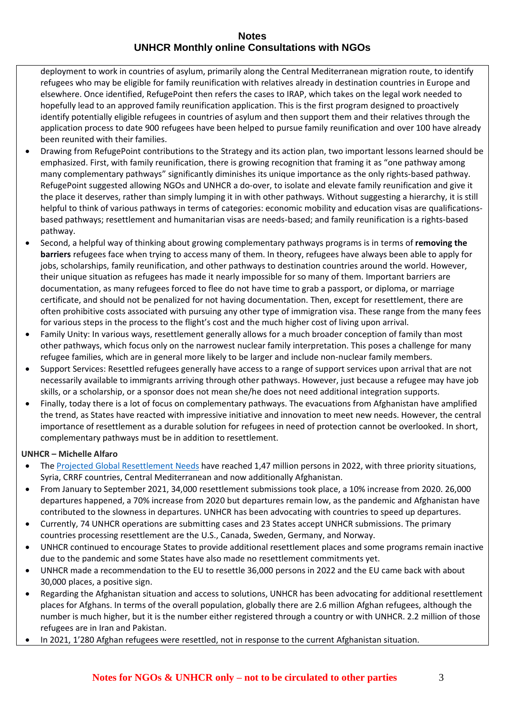deployment to work in countries of asylum, primarily along the Central Mediterranean migration route, to identify refugees who may be eligible for family reunification with relatives already in destination countries in Europe and elsewhere. Once identified, RefugePoint then refers the cases to IRAP, which takes on the legal work needed to hopefully lead to an approved family reunification application. This is the first program designed to proactively identify potentially eligible refugees in countries of asylum and then support them and their relatives through the application process to date 900 refugees have been helped to pursue family reunification and over 100 have already been reunited with their families.

- Drawing from RefugePoint contributions to the Strategy and its action plan, two important lessons learned should be emphasized. First, with family reunification, there is growing recognition that framing it as "one pathway among many complementary pathways" significantly diminishes its unique importance as the only rights-based pathway. RefugePoint suggested allowing NGOs and UNHCR a do-over, to isolate and elevate family reunification and give it the place it deserves, rather than simply lumping it in with other pathways. Without suggesting a hierarchy, it is still helpful to think of various pathways in terms of categories: economic mobility and education visas are qualificationsbased pathways; resettlement and humanitarian visas are needs-based; and family reunification is a rights-based pathway.
- Second, a helpful way of thinking about growing complementary pathways programs is in terms of **removing the barriers** refugees face when trying to access many of them. In theory, refugees have always been able to apply for jobs, scholarships, family reunification, and other pathways to destination countries around the world. However, their unique situation as refugees has made it nearly impossible for so many of them. Important barriers are documentation, as many refugees forced to flee do not have time to grab a passport, or diploma, or marriage certificate, and should not be penalized for not having documentation. Then, except for resettlement, there are often prohibitive costs associated with pursuing any other type of immigration visa. These range from the many fees for various steps in the process to the flight's cost and the much higher cost of living upon arrival.
- Family Unity: In various ways, resettlement generally allows for a much broader conception of family than most other pathways, which focus only on the narrowest nuclear family interpretation. This poses a challenge for many refugee families, which are in general more likely to be larger and include non-nuclear family members.
- Support Services: Resettled refugees generally have access to a range of support services upon arrival that are not necessarily available to immigrants arriving through other pathways. However, just because a refugee may have job skills, or a scholarship, or a sponsor does not mean she/he does not need additional integration supports.
- Finally, today there is a lot of focus on complementary pathways. The evacuations from Afghanistan have amplified the trend, as States have reacted with impressive initiative and innovation to meet new needs. However, the central importance of resettlement as a durable solution for refugees in need of protection cannot be overlooked. In short, complementary pathways must be in addition to resettlement.

# **UNHCR – Michelle Alfaro**

- Th[e Projected Global Resettlement Needs](https://www.unhcr.org/protection/resettlement/60d320a64/projected-global-resettlement-needs-2022-pdf.html) have reached 1,47 million persons in 2022, with three priority situations, Syria, CRRF countries, Central Mediterranean and now additionally Afghanistan.
- From January to September 2021, 34,000 resettlement submissions took place, a 10% increase from 2020. 26,000 departures happened, a 70% increase from 2020 but departures remain low, as the pandemic and Afghanistan have contributed to the slowness in departures. UNHCR has been advocating with countries to speed up departures.
- Currently, 74 UNHCR operations are submitting cases and 23 States accept UNHCR submissions. The primary countries processing resettlement are the U.S., Canada, Sweden, Germany, and Norway.
- UNHCR continued to encourage States to provide additional resettlement places and some programs remain inactive due to the pandemic and some States have also made no resettlement commitments yet.
- UNHCR made a recommendation to the EU to resettle 36,000 persons in 2022 and the EU came back with about 30,000 places, a positive sign.
- Regarding the Afghanistan situation and access to solutions, UNHCR has been advocating for additional resettlement places for Afghans. In terms of the overall population, globally there are 2.6 million Afghan refugees, although the number is much higher, but it is the number either registered through a country or with UNHCR. 2.2 million of those refugees are in Iran and Pakistan.
- In 2021, 1'280 Afghan refugees were resettled, not in response to the current Afghanistan situation.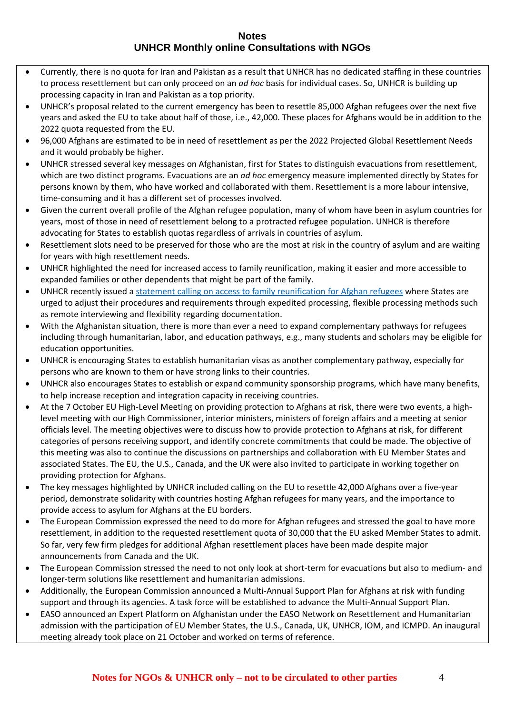- Currently, there is no quota for Iran and Pakistan as a result that UNHCR has no dedicated staffing in these countries to process resettlement but can only proceed on an *ad hoc* basis for individual cases. So, UNHCR is building up processing capacity in Iran and Pakistan as a top priority.
- UNHCR's proposal related to the current emergency has been to resettle 85,000 Afghan refugees over the next five years and asked the EU to take about half of those, i.e., 42,000. These places for Afghans would be in addition to the 2022 quota requested from the EU.
- 96,000 Afghans are estimated to be in need of resettlement as per the 2022 Projected Global Resettlement Needs and it would probably be higher.
- UNHCR stressed several key messages on Afghanistan, first for States to distinguish evacuations from resettlement, which are two distinct programs. Evacuations are an *ad hoc* emergency measure implemented directly by States for persons known by them, who have worked and collaborated with them. Resettlement is a more labour intensive, time-consuming and it has a different set of processes involved.
- Given the current overall profile of the Afghan refugee population, many of whom have been in asylum countries for years, most of those in need of resettlement belong to a protracted refugee population. UNHCR is therefore advocating for States to establish quotas regardless of arrivals in countries of asylum.
- Resettlement slots need to be preserved for those who are the most at risk in the country of asylum and are waiting for years with high resettlement needs.
- UNHCR highlighted the need for increased access to family reunification, making it easier and more accessible to expanded families or other dependents that might be part of the family.
- UNHCR recently issued a statement calling on [access to family reunification](https://www.unhcr.org/en-ie/news/press/2021/8/61268add4/unhcr-calls-on-government-to-expand-family-reunification-opportunities.html) for Afghan refugees where States are urged to adjust their procedures and requirements through expedited processing, flexible processing methods such as remote interviewing and flexibility regarding documentation.
- With the Afghanistan situation, there is more than ever a need to expand complementary pathways for refugees including through humanitarian, labor, and education pathways, e.g., many students and scholars may be eligible for education opportunities.
- UNHCR is encouraging States to establish humanitarian visas as another complementary pathway, especially for persons who are known to them or have strong links to their countries.
- UNHCR also encourages States to establish or expand community sponsorship programs, which have many benefits, to help increase reception and integration capacity in receiving countries.
- At the 7 October EU High-Level Meeting on providing protection to Afghans at risk, there were two events, a highlevel meeting with our High Commissioner, interior ministers, ministers of foreign affairs and a meeting at senior officials level. The meeting objectives were to discuss how to provide protection to Afghans at risk, for different categories of persons receiving support, and identify concrete commitments that could be made. The objective of this meeting was also to continue the discussions on partnerships and collaboration with EU Member States and associated States. The EU, the U.S., Canada, and the UK were also invited to participate in working together on providing protection for Afghans.
- The key messages highlighted by UNHCR included calling on the EU to resettle 42,000 Afghans over a five-year period, demonstrate solidarity with countries hosting Afghan refugees for many years, and the importance to provide access to asylum for Afghans at the EU borders.
- The European Commission expressed the need to do more for Afghan refugees and stressed the goal to have more resettlement, in addition to the requested resettlement quota of 30,000 that the EU asked Member States to admit. So far, very few firm pledges for additional Afghan resettlement places have been made despite major announcements from Canada and the UK.
- The European Commission stressed the need to not only look at short-term for evacuations but also to medium- and longer-term solutions like resettlement and humanitarian admissions.
- Additionally, the European Commission announced a Multi-Annual Support Plan for Afghans at risk with funding support and through its agencies. A task force will be established to advance the Multi-Annual Support Plan.
- EASO announced an Expert Platform on Afghanistan under the EASO Network on Resettlement and Humanitarian admission with the participation of EU Member States, the U.S., Canada, UK, UNHCR, IOM, and ICMPD. An inaugural meeting already took place on 21 October and worked on terms of reference.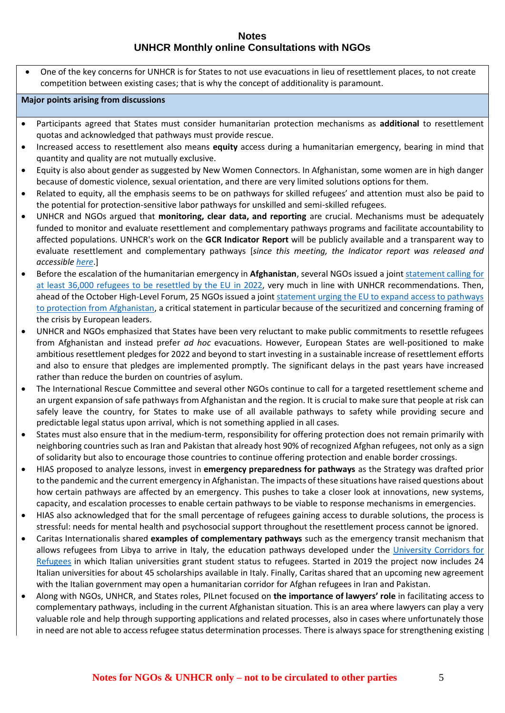• One of the key concerns for UNHCR is for States to not use evacuations in lieu of resettlement places, to not create competition between existing cases; that is why the concept of additionality is paramount.

#### **Major points arising from discussions**

- Participants agreed that States must consider humanitarian protection mechanisms as **additional** to resettlement quotas and acknowledged that pathways must provide rescue.
- Increased access to resettlement also means **equity** access during a humanitarian emergency, bearing in mind that quantity and quality are not mutually exclusive.
- Equity is also about gender as suggested by New Women Connectors. In Afghanistan, some women are in high danger because of domestic violence, sexual orientation, and there are very limited solutions options for them.
- Related to equity, all the emphasis seems to be on pathways for skilled refugees' and attention must also be paid to the potential for protection-sensitive labor pathways for unskilled and semi-skilled refugees.
- UNHCR and NGOs argued that **monitoring, clear data, and reporting** are crucial. Mechanisms must be adequately funded to monitor and evaluate resettlement and complementary pathways programs and facilitate accountability to affected populations. UNHCR's work on the **GCR Indicator Report** will be publicly available and a transparent way to evaluate resettlement and complementary pathways [*since this meeting, the Indicator report was released and accessible [here](/Users/loisedairocheteau/Downloads/•%09https:/www.unhcr.org/global-compact-refugees-indicator-report)*.]
- Before the escalation of the humanitarian emergency in **Afghanistan**, several NGOs issued a join[t statement calling for](https://eu.rescue.org/report/joint-statement-time-get-resettlement-moving)  [at least 36,000 refugees to be resettled by the EU in](https://eu.rescue.org/report/joint-statement-time-get-resettlement-moving) 2022, very much in line with UNHCR recommendations. Then, ahead of the October High-Level Forum, 25 NGOs issued a join[t statement urging the EU to expand access to pathways](https://eu.rescue.org/press-release/joint-statement-eu-cannot-shirk-its-responsibilities-towards-afghans-need)  [to protection from Afghanistan,](https://eu.rescue.org/press-release/joint-statement-eu-cannot-shirk-its-responsibilities-towards-afghans-need) a critical statement in particular because of the securitized and concerning framing of the crisis by European leaders.
- UNHCR and NGOs emphasized that States have been very reluctant to make public commitments to resettle refugees from Afghanistan and instead prefer *ad hoc* evacuations. However, European States are well-positioned to make ambitious resettlement pledges for 2022 and beyond to start investing in a sustainable increase of resettlement efforts and also to ensure that pledges are implemented promptly. The significant delays in the past years have increased rather than reduce the burden on countries of asylum.
- The International Rescue Committee and several other NGOs continue to call for a targeted resettlement scheme and an urgent expansion of safe pathways from Afghanistan and the region. It is crucial to make sure that people at risk can safely leave the country, for States to make use of all available pathways to safety while providing secure and predictable legal status upon arrival, which is not something applied in all cases.
- States must also ensure that in the medium-term, responsibility for offering protection does not remain primarily with neighboring countries such as Iran and Pakistan that already host 90% of recognized Afghan refugees, not only as a sign of solidarity but also to encourage those countries to continue offering protection and enable border crossings.
- HIAS proposed to analyze lessons, invest in **emergency preparedness for pathways** as the Strategy was drafted prior to the pandemic and the current emergency in Afghanistan. The impacts of these situations have raised questions about how certain pathways are affected by an emergency. This pushes to take a closer look at innovations, new systems, capacity, and escalation processes to enable certain pathways to be viable to response mechanisms in emergencies.
- HIAS also acknowledged that for the small percentage of refugees gaining access to durable solutions, the process is stressful: needs for mental health and psychosocial support throughout the resettlement process cannot be ignored.
- Caritas Internationalis shared **examples of complementary pathways** such as the emergency transit mechanism that allows refugees from Libya to arrive in Italy, the education pathways developed under the [University Corridors for](https://universitycorridors.unhcr.it/)  [Refugees](https://universitycorridors.unhcr.it/) in which Italian universities grant student status to refugees. Started in 2019 the project now includes 24 Italian universities for about 45 scholarships available in Italy. Finally, Caritas shared that an upcoming new agreement with the Italian government may open a humanitarian corridor for Afghan refugees in Iran and Pakistan.
- Along with NGOs, UNHCR, and States roles, PILnet focused on **the importance of lawyers' role** in facilitating access to complementary pathways, including in the current Afghanistan situation. This is an area where lawyers can play a very valuable role and help through supporting applications and related processes, also in cases where unfortunately those in need are not able to access refugee status determination processes. There is always space for strengthening existing